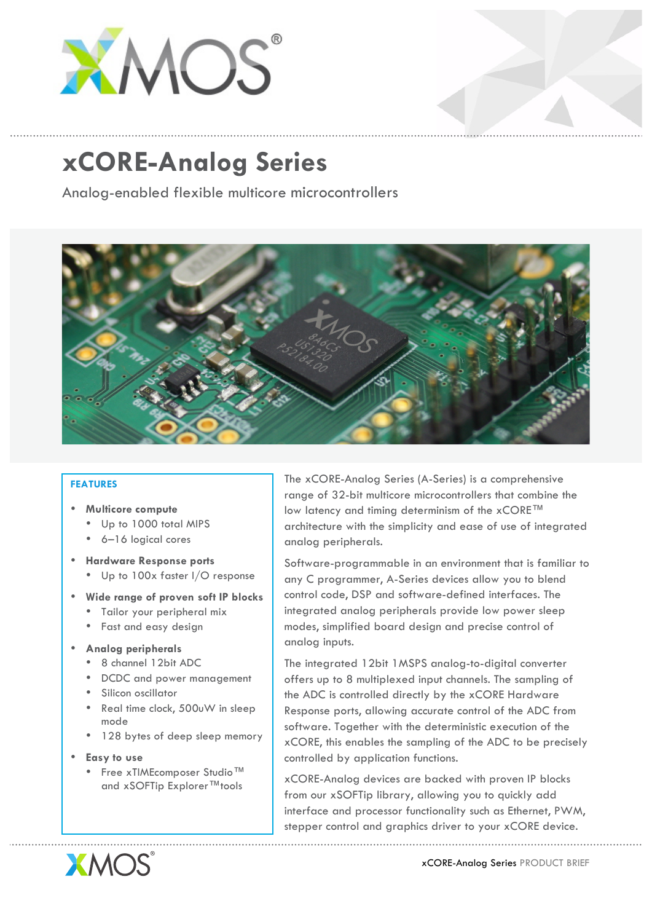

## **xCORE-Analog Series**

Analog-enabled flexible multicore microcontrollers



## **FEATURES**

- **Multicore compute**
	- Up to 1000 total MIPS
	- 6–16 logical cores
- **Hardware Response ports**
	- Up to 100x faster I/O response
- **Wide range of proven soft IP blocks** 
	- Tailor your peripheral mix
	- Fast and easy design
- **Analog peripherals**
	- 8 channel 12bit ADC
	- DCDC and power management
	- Silicon oscillator
	- Real time clock, 500uW in sleep mode
	- 128 bytes of deep sleep memory
- **Easy to use**
	- Free xTIMEcomposer Studio™ and xSOFTip Explorer™tools

The xCORE-Analog Series (A-Series) is a comprehensive range of 32-bit multicore microcontrollers that combine the low latency and timing determinism of the xCORE™ architecture with the simplicity and ease of use of integrated analog peripherals.

Software-programmable in an environment that is familiar to any C programmer, A-Series devices allow you to blend control code, DSP and software-defined interfaces. The integrated analog peripherals provide low power sleep modes, simplified board design and precise control of analog inputs.

The integrated 12bit 1MSPS analog-to-digital converter offers up to 8 multiplexed input channels. The sampling of the ADC is controlled directly by the xCORE Hardware Response ports, allowing accurate control of the ADC from software. Together with the deterministic execution of the xCORE, this enables the sampling of the ADC to be precisely controlled by application functions.

xCORE-Analog devices are backed with proven IP blocks from our xSOFTip library, allowing you to quickly add interface and processor functionality such as Ethernet, PWM, stepper control and graphics driver to your xCORE device.